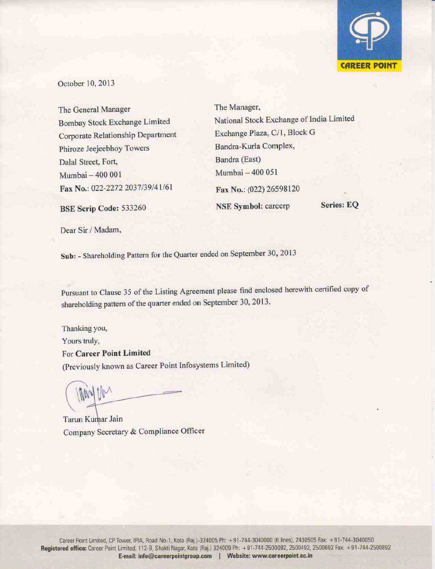

October 10, 2013

The General Manager Bombay Stock Exchange Limited Corporate Relationship Department Phiroze Jeejeebhoy Towers Dalal Street, Fort, Mumbai - 400 001 Fax No.: 022-2272 2037/39/41/61

The Manager, National Stock Exchange of India Limited Exchange Plaza, C/1, Block G Bandra-Kurla Complex, Bandra (East) Mumbai - 400 051 Fax No.: (022) 26598120 Series: EO **NSE Symbol: careerp** 

Dear Sir / Madam,

BSE Scrip Code: 533260

Sub: - Shareholding Pattern for the Quarter ended on September 30, 2013

Pursuant to Clause 35 of the Listing Agreement please find enclosed herewith certified copy of shareholding pattern of the quarter ended on September 30, 2013.

Thanking you, Yours truly, For Career Point Limited (Previously known as Career Point Infosystems Limited)

Tarun Kumar Jain Company Secretary & Compliance Officer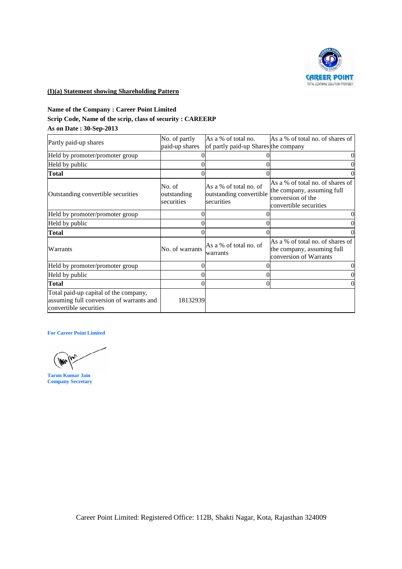

## **(I)(a) Statement showing Shareholding Pattern**

## **Name of the Company : Career Point Limited Scrip Code, Name of the scrip, class of security : CAREERP As on Date : 30-Sep-2013**

| Partly paid-up shares                                                                                       | No. of partly<br>paid-up shares     | As a % of total no.<br>of partly paid-up Shares the company     | As a % of total no. of shares of                                                         |
|-------------------------------------------------------------------------------------------------------------|-------------------------------------|-----------------------------------------------------------------|------------------------------------------------------------------------------------------|
| Held by promoter/promoter group                                                                             | $\overline{0}$                      |                                                                 | $\boldsymbol{0}$                                                                         |
| Held by public                                                                                              | $\overline{0}$                      | 0                                                               | $\boldsymbol{0}$                                                                         |
| <b>Total</b>                                                                                                | 0                                   | 0                                                               | $\boldsymbol{0}$                                                                         |
|                                                                                                             |                                     |                                                                 | As a % of total no. of shares of                                                         |
| Outstanding convertible securities                                                                          | No. of<br>outstanding<br>securities | As a % of total no. of<br>outstanding convertible<br>securities | the company, assuming full<br>conversion of the<br>convertible securities                |
| Held by promoter/promoter group                                                                             | 0                                   | 0                                                               | $\boldsymbol{0}$                                                                         |
| Held by public                                                                                              | $\boldsymbol{0}$                    | 0                                                               | $\boldsymbol{0}$                                                                         |
| <b>Total</b>                                                                                                | $\overline{0}$                      | 0                                                               | $\boldsymbol{0}$                                                                         |
| Warrants                                                                                                    | No. of warrants                     | As a % of total no. of<br>warrants                              | As a % of total no. of shares of<br>the company, assuming full<br>conversion of Warrants |
| Held by promoter/promoter group                                                                             | $\mathbf{0}$                        | 0                                                               | $\boldsymbol{0}$                                                                         |
| Held by public                                                                                              | $\boldsymbol{0}$                    | $\mathbf{0}$                                                    | $\boldsymbol{0}$                                                                         |
| <b>Total</b>                                                                                                | $\overline{0}$                      | $\overline{0}$                                                  | $\boldsymbol{0}$                                                                         |
| Total paid-up capital of the company,<br>assuming full conversion of warrants and<br>convertible securities | 18132939                            |                                                                 |                                                                                          |
| <b>Tarun Kumar Jain</b><br><b>Company Secretary</b>                                                         |                                     |                                                                 |                                                                                          |
|                                                                                                             |                                     |                                                                 |                                                                                          |
|                                                                                                             |                                     |                                                                 |                                                                                          |
| Career Point Limited: Registered Office: 112B, Shakti Nagar, Kota, Rajasthan 324009                         |                                     |                                                                 |                                                                                          |

NM)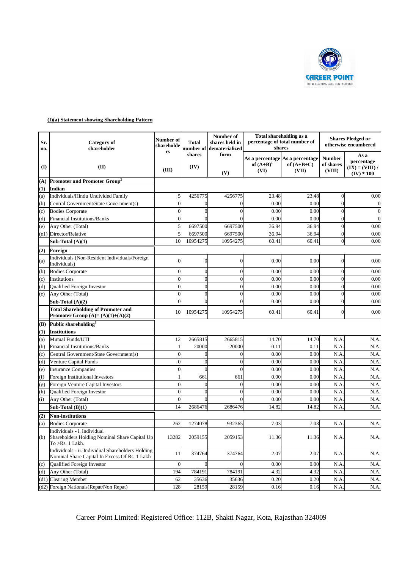

| $\bf(I)$   | shareholder                                                                                        | shareholde<br>rs         | Total                      | shares held in<br>number of dematerialized | shares               | percentage of total number of                            | <b>Shares Pledged or</b><br>otherwise encumbered |                                                         |  |
|------------|----------------------------------------------------------------------------------------------------|--------------------------|----------------------------|--------------------------------------------|----------------------|----------------------------------------------------------|--------------------------------------------------|---------------------------------------------------------|--|
|            | (II)                                                                                               | (III)                    | shares<br>(IV)             | form<br>(V)                                | of $(A+B)^1$<br>(VI) | As a percentage As a percentage<br>of $(A+B+C)$<br>(VII) | <b>Number</b><br>of shares<br>(VIII)             | As a<br>percentage<br>$(IX) = (VIII) /$<br>$(IV) * 100$ |  |
| (A)        | Promoter and Promoter Group <sup>2</sup>                                                           |                          |                            |                                            |                      |                                                          |                                                  |                                                         |  |
| (1)        | <b>Indian</b>                                                                                      |                          |                            |                                            |                      |                                                          |                                                  |                                                         |  |
| (a)        | Individuals/Hindu Undivided Family                                                                 | 5                        | 4256775                    | 4256775                                    | 23.48                | 23.48                                                    | $\mathbf{0}$                                     | 0.00                                                    |  |
| (b)        | Central Government/State Government(s)                                                             | $\theta$                 | $\boldsymbol{0}$           | $\overline{0}$                             | 0.00                 | 0.00                                                     | $\theta$                                         | $\overline{0}$                                          |  |
| (c)        | <b>Bodies Corporate</b>                                                                            | $\overline{0}$           | $\overline{0}$<br>$\theta$ | $\theta$                                   | 0.00                 | 0.00                                                     | $\Omega$                                         | $\overline{0}$<br>$\overline{0}$                        |  |
| (d)        | <b>Financial Institutions/Banks</b><br>Any Other (Total)                                           | $\overline{0}$<br>5      | 6697500                    | 6697500                                    | 0.00<br>36.94        | 0.00<br>36.94                                            | $\overline{0}$<br>$\theta$                       | 0.00                                                    |  |
| (e)        | (e1) Director/Relative                                                                             | 5                        | 6697500                    | 6697500                                    | 36.94                | 36.94                                                    | $\mathbf{0}$                                     | 0.00                                                    |  |
|            | Sub-Total $(A)(1)$                                                                                 | 10                       | 10954275                   | 10954275                                   | 60.41                | 60.41                                                    | $\theta$                                         | 0.00                                                    |  |
| (2)        | Foreign                                                                                            |                          |                            |                                            |                      |                                                          |                                                  |                                                         |  |
| (a)        | Individuals (Non-Resident Individuals/Foreign<br>Individuals)                                      | $\theta$                 | $\mathbf{0}$               | $\overline{0}$                             | 0.00                 | 0.00                                                     | $\overline{0}$                                   | 0.00                                                    |  |
| (b)        | <b>Bodies Corporate</b>                                                                            | $\overline{0}$           | $\overline{0}$             | $\overline{0}$                             | 0.00                 | 0.00                                                     | $\overline{0}$                                   | 0.00                                                    |  |
| (c)        | Institutions                                                                                       | $\overline{0}$           | $\overline{0}$             | $\overline{0}$                             | 0.00                 | 0.00                                                     | $\theta$                                         | 0.00                                                    |  |
| (d)        | Qualified Foreign Investor                                                                         | $\Omega$                 | $\overline{0}$             | $\theta$                                   | 0.00                 | 0.00                                                     | $\Omega$                                         | 0.00                                                    |  |
| (e)        | Any Other (Total)                                                                                  | $\Omega$                 | $\overline{0}$             | $\theta$                                   | 0.00                 | 0.00                                                     | $\theta$                                         | 0.00                                                    |  |
|            | Sub-Total $(A)(2)$                                                                                 | $\Omega$                 | $\overline{0}$             | $\Omega$                                   | 0.00                 | 0.00                                                     | $\theta$                                         | 0.00                                                    |  |
|            | <b>Total Shareholding of Promoter and</b><br>Promoter Group $(A)=(A)(1)+(A)(2)$                    | 10                       | 10954275                   | 10954275                                   | 60.41                | 60.41                                                    | $\theta$                                         | 0.00                                                    |  |
| (B)        | Public shareholding <sup>3</sup>                                                                   |                          |                            |                                            |                      |                                                          |                                                  |                                                         |  |
| (1)        | <b>Institutions</b>                                                                                |                          |                            |                                            |                      |                                                          |                                                  |                                                         |  |
| (a)        | Mutual Funds/UTI                                                                                   | 12                       | 2665815                    | 2665815                                    | 14.70                | 14.70                                                    | N.A                                              | N.A                                                     |  |
| (b)        | <b>Financial Institutions/Banks</b><br>Central Government/State Government(s)                      | $\mathbf{1}$<br>$\Omega$ | 20000<br>$\mathbf{0}$      | 20000<br>$\theta$                          | 0.11<br>0.00         | 0.11<br>0.00                                             | N.A<br>N.A                                       | N.A<br>N.A                                              |  |
| (c)<br>(d) | <b>Venture Capital Funds</b>                                                                       | $\theta$                 | $\boldsymbol{0}$           | $\Omega$                                   | 0.00                 | 0.00                                                     | N.A                                              | N.A                                                     |  |
| (e)        | <b>Insurance Companies</b>                                                                         | $\overline{0}$           | $\overline{0}$             | $\Omega$                                   | 0.00                 | 0.00                                                     | N.A                                              | N.A                                                     |  |
| (f)        | <b>Foreign Institutional Investors</b>                                                             |                          | 661                        | 661                                        | 0.00                 | 0.00                                                     | N.A                                              | N.A                                                     |  |
| (g)        | Foreign Venture Capital Investors                                                                  | $\mathbf 0$              | $\boldsymbol{0}$           | $\overline{0}$                             | 0.00                 | 0.00                                                     | N.A                                              | N.A.                                                    |  |
| (h)        | Qualified Foreign Investor                                                                         | $\theta$                 | $\overline{0}$             | $\theta$                                   | 0.00                 | 0.00                                                     | N.A                                              | N.A.                                                    |  |
| (i)        | Any Other (Total)                                                                                  | $\overline{0}$           | $\mathbf{0}$               | $\Omega$                                   | 0.00                 | 0.00                                                     | N.A                                              | N.A.                                                    |  |
|            | Sub-Total $(B)(1)$                                                                                 | 14                       | 2686476                    | 2686476                                    | 14.82                | 14.82                                                    | N.A                                              | N.A                                                     |  |
| (2)        | <b>Non-institutions</b>                                                                            |                          |                            |                                            |                      |                                                          |                                                  |                                                         |  |
| (a)        | <b>Bodies Corporate</b>                                                                            | 262                      | 1274078                    | 932365                                     | 7.03                 | 7.03                                                     | N.A                                              | N.A.                                                    |  |
| (b)        | Individuals - i. Individual<br>Shareholders Holding Nominal Share Capital Up<br>To > Rs. 1 Lakh.   | 13282                    | 2059155                    | 2059153                                    | 11.36                | 11.36                                                    | N.A                                              | N.A.                                                    |  |
|            | Individuals - ii. Individual Shareholders Holding<br>Nominal Share Capital In Excess Of Rs. 1 Lakh | 11                       | 374764                     | 374764                                     | 2.07                 | 2.07                                                     | N.A                                              | N.A.                                                    |  |
| (c)        | Qualified Foreign Investor                                                                         | $\overline{0}$           | $\overline{0}$             | $\overline{0}$                             | 0.00                 | 0.00                                                     | N.A                                              | N.A.                                                    |  |
| (d)        | Any Other (Total)                                                                                  | 194                      | 784191                     | 784191                                     | 4.32                 | 4.32                                                     | N.A                                              | N.A.                                                    |  |
|            | (d1) Clearing Member                                                                               | 62                       | 35636                      | 35636                                      | 0.20                 | 0.20                                                     | N.A                                              | N.A.                                                    |  |
|            | (d2) Foreign Nationals (Repat/Non Repat)                                                           | 128                      | 28159                      | 28159                                      | 0.16                 | 0.16                                                     | N.A                                              | N.A.                                                    |  |

Career Point Limited: Registered Office: 112B, Shakti Nagar, Kota, Rajasthan 324009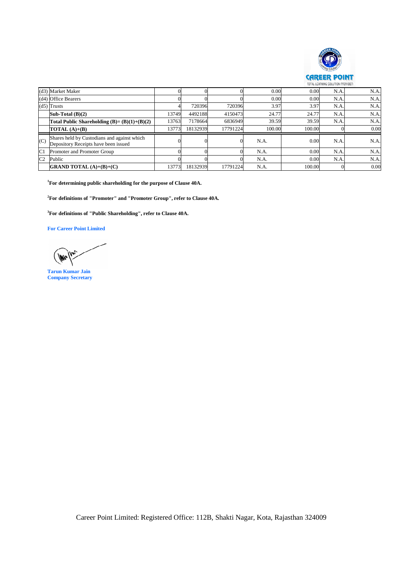

|     | (d3) Market Maker                                                                                                                                                                                                                                                                                                                                                             | $\mathbf{0}$            | $\boldsymbol{0}$           | $\mathbf{0}$         | 0.00               | 0.00           | N.A.                   | N.A.         |
|-----|-------------------------------------------------------------------------------------------------------------------------------------------------------------------------------------------------------------------------------------------------------------------------------------------------------------------------------------------------------------------------------|-------------------------|----------------------------|----------------------|--------------------|----------------|------------------------|--------------|
|     | (d4) Office Bearers                                                                                                                                                                                                                                                                                                                                                           | $\overline{0}$          | $\overline{0}$             | $\overline{0}$       | 0.00               | 0.00           | N.A                    | N.A.         |
|     | $(d5)$ Trusts                                                                                                                                                                                                                                                                                                                                                                 | 4                       | 720396                     | 720396               | 3.97               | 3.97           | N.A.                   | N.A.         |
|     | Sub-Total (B)(2)                                                                                                                                                                                                                                                                                                                                                              | 13749<br>13763          | 4492188<br>7178664         | 4150473<br>6836949   | 24.77<br>39.59     | 24.77<br>39.59 | N.A<br>N.A             | N.A.<br>N.A. |
|     | Total Public Shareholding $(B)=(B)(1)+(B)(2)$<br>TOTAL $(A)+(B)$                                                                                                                                                                                                                                                                                                              | 13773                   | 18132939                   | 17791224             | 100.00             | 100.00         | $\overline{0}$         | 0.00         |
|     |                                                                                                                                                                                                                                                                                                                                                                               |                         |                            |                      |                    |                |                        |              |
| (C) | Shares held by Custodians and against which<br>Depository Receipts have been issued                                                                                                                                                                                                                                                                                           | $\boldsymbol{0}$        | $\boldsymbol{0}$           | $\overline{0}$       | N.A.               | 0.00           | N.A.                   | N.A.         |
| C1  | Promoter and Promoter Group                                                                                                                                                                                                                                                                                                                                                   | $\overline{0}$          | $\mathbf{0}$               | $\mathbf{0}$         | N.A.               | 0.00           | N.A                    | N.A.         |
| C2  | Public<br><b>GRAND TOTAL (A)+(B)+(C)</b>                                                                                                                                                                                                                                                                                                                                      | $\overline{0}$<br>13773 | $\overline{0}$<br>18132939 | $\theta$<br>17791224 | $\rm N.A.$<br>N.A. | 0.00<br>100.00 | N.A.<br>$\overline{0}$ | N.A.<br>0.00 |
|     | <sup>1</sup> For determining public shareholding for the purpose of Clause 40A.<br><sup>2</sup> For definitions of "Promoter" and "Promoter Group", refer to Clause 40A.<br><sup>3</sup> For definitions of "Public Shareholding", refer to Clause 40A.<br><b>For Career Point Limited</b><br><b>Im</b><br><b>WANT</b><br><b>Tarun Kumar Jain</b><br><b>Company Secretary</b> |                         |                            |                      |                    |                |                        |              |
|     |                                                                                                                                                                                                                                                                                                                                                                               |                         |                            |                      |                    |                |                        |              |
|     |                                                                                                                                                                                                                                                                                                                                                                               |                         |                            |                      |                    |                |                        |              |
|     |                                                                                                                                                                                                                                                                                                                                                                               |                         |                            |                      |                    |                |                        |              |
|     |                                                                                                                                                                                                                                                                                                                                                                               |                         |                            |                      |                    |                |                        |              |
|     |                                                                                                                                                                                                                                                                                                                                                                               |                         |                            |                      |                    |                |                        |              |
|     |                                                                                                                                                                                                                                                                                                                                                                               |                         |                            |                      |                    |                |                        |              |
|     | Career Point Limited: Registered Office: 112B, Shakti Nagar, Kota, Rajasthan 324009                                                                                                                                                                                                                                                                                           |                         |                            |                      |                    |                |                        |              |

**When** 

**Tarun Kumar Jain Company Secretary**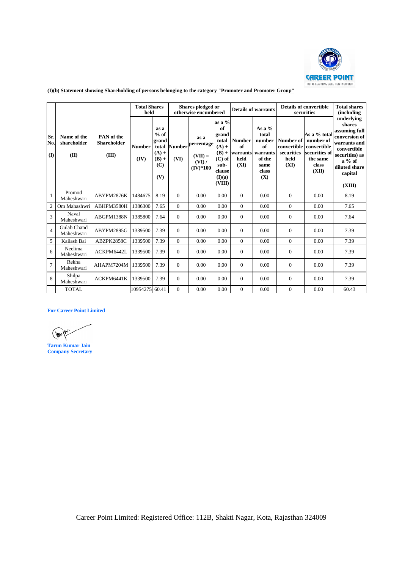

|                   |                                                                   |                                                                                     | <b>Total Shares</b><br>held |                                                                      |                                  | Shares pledged or<br>otherwise encumbered                        |                                                                                                        |                                                 | <b>Details of warrants</b>                                                      |                                                        | <b>Details of convertible</b><br>securities                                             | <b>Total shares</b><br>(including                                                                                                                         |
|-------------------|-------------------------------------------------------------------|-------------------------------------------------------------------------------------|-----------------------------|----------------------------------------------------------------------|----------------------------------|------------------------------------------------------------------|--------------------------------------------------------------------------------------------------------|-------------------------------------------------|---------------------------------------------------------------------------------|--------------------------------------------------------|-----------------------------------------------------------------------------------------|-----------------------------------------------------------------------------------------------------------------------------------------------------------|
| Sr.<br>No.<br>(I) | Name of the<br>shareholder<br>(II)                                | PAN of the<br>Shareholder<br>(III)                                                  | <b>Number</b><br>(IV)       | as a<br>$%$ of<br>grand<br>total<br>$(A) +$<br>$(B) +$<br>(C)<br>(V) | (VI)                             | as a<br>Number percentage<br>$(VII) =$<br>$(VI)$ /<br>$(IV)*100$ | as a %<br>of<br>grand<br>total<br>$(A) +$<br>$(B) +$<br>$(C)$ of<br>sub-<br>clause<br>(I)(a)<br>(VIII) | <b>Number</b><br>of<br>warrants<br>held<br>(XI) | As a $%$<br>total<br>number<br>of<br>warrants<br>of the<br>same<br>class<br>(X) | Number of<br>convertible<br>securities<br>held<br>(XI) | As a % total<br>number of<br>convertible<br>securities of<br>the same<br>class<br>(XII) | underlying<br>shares<br>assuming full<br>conversion of<br>warrants and<br>convertible<br>securities) as<br>$a\%$ of<br>diluted share<br>capital<br>(XIII) |
| $\mathbf{1}$      | Promod<br>Maheshwari                                              | ABYPM2876K                                                                          | 1484675                     | 8.19                                                                 | $\mathbf{0}$                     | 0.00                                                             | 0.00                                                                                                   | $\boldsymbol{0}$                                | 0.00                                                                            | $\boldsymbol{0}$                                       | 0.00                                                                                    | 8.19                                                                                                                                                      |
| $\overline{c}$    | Om Mahashwri                                                      | ABHPM3580H                                                                          | 1386300                     | 7.65                                                                 | $\mathbf{0}$                     | 0.00                                                             | 0.00                                                                                                   | $\boldsymbol{0}$                                | 0.00                                                                            | $\boldsymbol{0}$                                       | 0.00                                                                                    | 7.65                                                                                                                                                      |
| 3                 | Naval<br>Maheshwari                                               | ABGPM1388N                                                                          | 1385800                     | 7.64                                                                 | $\mathbf{0}$                     | $0.00\,$                                                         | 0.00                                                                                                   | $\boldsymbol{0}$                                | 0.00                                                                            | $\boldsymbol{0}$                                       | 0.00                                                                                    | 7.64                                                                                                                                                      |
| $\overline{4}$    | Gulab Chand<br>Maheshwari                                         | ABYPM2895G                                                                          | 1339500                     | 7.39                                                                 | $\mathbf{0}$                     | 0.00                                                             | 0.00                                                                                                   | $\boldsymbol{0}$                                | 0.00                                                                            | $\mathbf{0}$                                           | 0.00                                                                                    | 7.39                                                                                                                                                      |
| 5                 | Kailash Bai                                                       | ABZPK2858C                                                                          | 1339500                     | 7.39                                                                 | $\mathbf{0}$                     | 0.00                                                             | 0.00                                                                                                   | $\boldsymbol{0}$                                | 0.00                                                                            | $\boldsymbol{0}$                                       | 0.00                                                                                    | 7.39                                                                                                                                                      |
| 6                 | Neelima<br>Maheshwari                                             | ACKPM6442L                                                                          | 1339500                     | 7.39                                                                 | $\mathbf{0}$                     | 0.00                                                             | 0.00                                                                                                   | $\boldsymbol{0}$                                | 0.00                                                                            | $\boldsymbol{0}$                                       | 0.00                                                                                    | 7.39                                                                                                                                                      |
| 7                 | Rekha<br>Maheshwari                                               | AHAPM7204M                                                                          | 1339500                     | 7.39                                                                 | $\mathbf{0}$                     | 0.00                                                             | 0.00                                                                                                   | $\boldsymbol{0}$                                | 0.00                                                                            | $\boldsymbol{0}$                                       | 0.00                                                                                    | 7.39                                                                                                                                                      |
| 8                 | Shilpa<br>Maheshwari<br><b>TOTAL</b>                              | ACKPM6441K                                                                          | 1339500<br>10954275         | 7.39<br>60.41                                                        | $\mathbf{0}$<br>$\boldsymbol{0}$ | 0.00<br>0.00                                                     | 0.00<br>0.00                                                                                           | $\boldsymbol{0}$<br>$\boldsymbol{0}$            | 0.00<br>0.00                                                                    | $\mathbf{0}$<br>$\boldsymbol{0}$                       | 0.00<br>0.00                                                                            | 7.39<br>60.43                                                                                                                                             |
|                   | (Wr<br>/Wv<br><b>Tarun Kumar Jain</b><br><b>Company Secretary</b> |                                                                                     |                             |                                                                      |                                  |                                                                  |                                                                                                        |                                                 |                                                                                 |                                                        |                                                                                         |                                                                                                                                                           |
|                   |                                                                   |                                                                                     |                             |                                                                      |                                  |                                                                  |                                                                                                        |                                                 |                                                                                 |                                                        |                                                                                         |                                                                                                                                                           |
|                   |                                                                   |                                                                                     |                             |                                                                      |                                  |                                                                  |                                                                                                        |                                                 |                                                                                 |                                                        |                                                                                         |                                                                                                                                                           |
|                   |                                                                   |                                                                                     |                             |                                                                      |                                  |                                                                  |                                                                                                        |                                                 |                                                                                 |                                                        |                                                                                         |                                                                                                                                                           |
|                   |                                                                   | Career Point Limited: Registered Office: 112B, Shakti Nagar, Kota, Rajasthan 324009 |                             |                                                                      |                                  |                                                                  |                                                                                                        |                                                 |                                                                                 |                                                        |                                                                                         |                                                                                                                                                           |

**(I)(b) Statement showing Shareholding of persons belonging to the category "Promoter and Promoter Group"**

 $\frac{1}{\sqrt{1-\frac{1}{2}}\sqrt{1-\frac{1}{2}}\sqrt{1-\frac{1}{2}}\sqrt{1-\frac{1}{2}}\sqrt{1-\frac{1}{2}}\sqrt{1-\frac{1}{2}}\sqrt{1-\frac{1}{2}}\sqrt{1-\frac{1}{2}}\sqrt{1-\frac{1}{2}}\sqrt{1-\frac{1}{2}}\sqrt{1-\frac{1}{2}}\sqrt{1-\frac{1}{2}}\sqrt{1-\frac{1}{2}}\sqrt{1-\frac{1}{2}}\sqrt{1-\frac{1}{2}}\sqrt{1-\frac{1}{2}}\sqrt{1-\frac{1}{2}}\sqrt{1-\frac{1}{2}}\sqrt{1-\frac{1}{2}}\sqrt{1-\frac$ 

**Tarun Kumar Jain Company Secretary**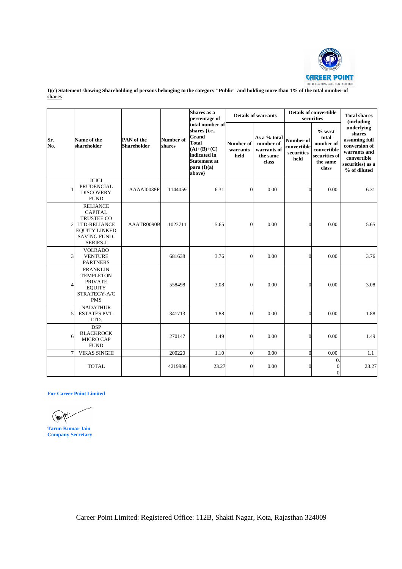

**shares**

|                                                           |                                                                                                                                   |                                  |                     | Shares as a<br>percentage of                                                                                                              |                               | <b>Details of warrants</b>                                    |                                                | <b>Details of convertible</b><br>securities                                        | <b>Total shares</b><br><i>(including)</i>                                                                                 |
|-----------------------------------------------------------|-----------------------------------------------------------------------------------------------------------------------------------|----------------------------------|---------------------|-------------------------------------------------------------------------------------------------------------------------------------------|-------------------------------|---------------------------------------------------------------|------------------------------------------------|------------------------------------------------------------------------------------|---------------------------------------------------------------------------------------------------------------------------|
| Sr.<br>No.                                                | Name of the<br>shareholder                                                                                                        | PAN of the<br><b>Shareholder</b> | Number of<br>shares | total number of<br>shares {i.e.,<br>Grand<br><b>Total</b><br>$(A)+(B)+(C)$<br>indicated in<br><b>Statement at</b><br>para(I)(a)<br>above} | Number of<br>warrants<br>held | As a % total<br>number of<br>warrants of<br>the same<br>class | Number of<br>convertible<br>securities<br>held | % w.r.t<br>total<br>number of<br>convertible<br>securities of<br>the same<br>class | underlying<br>shares<br>assuming full<br>conversion of<br>warrants and<br>convertible<br>securities) as a<br>% of diluted |
|                                                           | <b>ICICI</b><br>PRUDENCIAL<br><b>DISCOVERY</b><br><b>FUND</b>                                                                     | AAAAI0038F                       | 1144059             | 6.31                                                                                                                                      | $\boldsymbol{0}$              | 0.00                                                          | $\theta$                                       | 0.00                                                                               | 6.31                                                                                                                      |
| $\overline{2}$                                            | <b>RELIANCE</b><br><b>CAPITAL</b><br>TRUSTEE CO<br>LTD-RELIANCE<br><b>EQUITY LINKED</b><br><b>SAVING FUND-</b><br><b>SERIES-I</b> | AAATR0090B                       | 1023711             | 5.65                                                                                                                                      | $\mathbf{0}$                  | 0.00                                                          | $\mathbf{0}$                                   | 0.00                                                                               | 5.65                                                                                                                      |
| 3                                                         | <b>VOLRADO</b><br><b>VENTURE</b><br><b>PARTNERS</b>                                                                               |                                  | 681638              | 3.76                                                                                                                                      | $\mathbf{0}$                  | 0.00                                                          | $\overline{0}$                                 | 0.00                                                                               | 3.76                                                                                                                      |
| $\overline{4}$                                            | <b>FRANKLIN</b><br><b>TEMPLETON</b><br><b>PRIVATE</b><br><b>EQUITY</b><br>STRATEGY-A/C<br><b>PMS</b>                              |                                  | 558498              | 3.08                                                                                                                                      | $\boldsymbol{0}$              | 0.00                                                          | $\theta$                                       | 0.00                                                                               | 3.08                                                                                                                      |
| 5                                                         | <b>NADATHUR</b><br><b>ESTATES PVT.</b><br>LTD.                                                                                    |                                  | 341713              | 1.88                                                                                                                                      | $\overline{0}$                | 0.00                                                          | $\overline{0}$                                 | 0.00                                                                               | 1.88                                                                                                                      |
| 6                                                         | <b>DSP</b><br><b>BLACKROCK</b><br>MICRO CAP<br><b>FUND</b>                                                                        |                                  | 270147              | 1.49                                                                                                                                      | $\boldsymbol{0}$              | 0.00                                                          | $\theta$                                       | 0.00                                                                               | 1.49                                                                                                                      |
| $\overline{7}$                                            | <b>VIKAS SINGHI</b>                                                                                                               |                                  | 200220              | 1.10                                                                                                                                      | $\mathbf{0}$                  | 0.00                                                          | $\mathbf{0}$                                   | 0.00                                                                               | 1.1                                                                                                                       |
|                                                           | <b>TOTAL</b>                                                                                                                      |                                  | 4219986             | 23.27                                                                                                                                     | $\overline{0}$                | 0.00                                                          | $\theta$                                       | 0.<br>$\mathbf{0}$<br>$\boldsymbol{0}$                                             | 23.27                                                                                                                     |
| In<br><b>Tarun Kumar Jain</b><br><b>Company Secretary</b> | <b>For Career Point Limited</b>                                                                                                   |                                  |                     |                                                                                                                                           |                               |                                                               |                                                |                                                                                    |                                                                                                                           |

 $\sqrt{m^2}$ 

**Tarun Kumar Jain Company Secretary**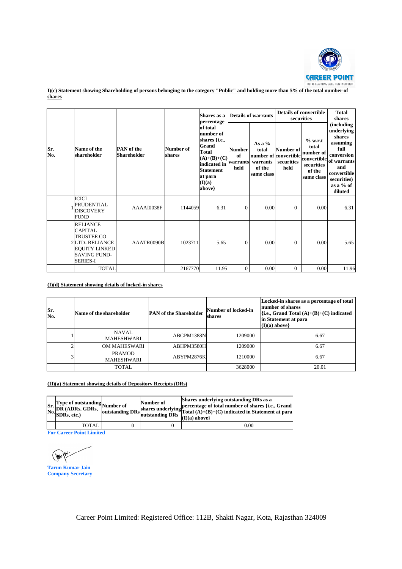

**I)(c)** Statement showing Shareholding of persons belonging to the category "Public" and holding more than 5% of the total number of **shares**

|                           |                                                                                                                                    |                                                    |                  |                          |                                                         |                                                                                                                                                     | Shares as a<br>percentage               |                                                       | <b>Details of warrants</b>                                                                                                                        |                                                                                    | <b>Details of convertible</b><br>securities                                                                                                      | <b>Total</b><br>shares                    |
|---------------------------|------------------------------------------------------------------------------------------------------------------------------------|----------------------------------------------------|------------------|--------------------------|---------------------------------------------------------|-----------------------------------------------------------------------------------------------------------------------------------------------------|-----------------------------------------|-------------------------------------------------------|---------------------------------------------------------------------------------------------------------------------------------------------------|------------------------------------------------------------------------------------|--------------------------------------------------------------------------------------------------------------------------------------------------|-------------------------------------------|
| Sr.<br>No.                | Name of the<br>shareholder                                                                                                         | <b>PAN</b> of the<br>Shareholder                   |                  | Number of<br>shares      |                                                         | of total<br>number of<br>shares {i.e.,<br>Grand<br><b>Total</b><br>$(A)+(B)+(C)$<br>indicated in<br><b>Statement</b><br>at para<br>(I)(a)<br>above} | <b>Number</b><br>of<br>warrants<br>held | As a $%$<br>total<br>warrants<br>of the<br>same class | Number of<br>number of convertible<br>securities<br>held                                                                                          | % w.r.t<br>total<br>number of<br>convertible<br>securities<br>of the<br>same class | (including<br>underlying<br>shares<br>assuming<br>full<br>conversion<br>of warrants<br>and<br>convertible<br>securities)<br>as a % of<br>diluted |                                           |
|                           | ICICI<br>PRUDENTIAL<br>DISCOVERY<br><b>FUND</b>                                                                                    |                                                    | AAAAI0038F       |                          | 1144059                                                 |                                                                                                                                                     | 6.31                                    | $\mathbf{0}$                                          | 0.00                                                                                                                                              | $\mathbf{0}$                                                                       | 0.00                                                                                                                                             | 6.31                                      |
|                           | <b>RELIANCE</b><br>CAPITAL<br><b>TRUSTEE CO</b><br><b>2LTD-RELIANCE</b><br><b>EQUITY LINKED</b><br>SAVING FUND-<br><b>SERIES-I</b> |                                                    | AAATR0090B       |                          | 1023711                                                 |                                                                                                                                                     | 5.65                                    | $\boldsymbol{0}$                                      | 0.00                                                                                                                                              | $\boldsymbol{0}$                                                                   | 0.00                                                                                                                                             | 5.65                                      |
|                           |                                                                                                                                    | TOTAL                                              |                  |                          | 2167770                                                 |                                                                                                                                                     | 11.95                                   | $\boldsymbol{0}$                                      | 0.00                                                                                                                                              | $\mathbf{0}$                                                                       | 0.00                                                                                                                                             | 11.96                                     |
| Sr.<br>No.                | Name of the shareholder                                                                                                            | <b>NAVAL</b>                                       |                  |                          | <b>PAN of the Shareholder</b>                           |                                                                                                                                                     | shares                                  | Number of locked-in                                   |                                                                                                                                                   | number of shares<br>in Statement at para<br>$(I)(a)$ above}                        | {i.e., Grand Total $(A)+(B)+(C)$ indicated                                                                                                       | Locked-in shares as a percentage of total |
| 1                         |                                                                                                                                    | <b>MAHESHWARI</b>                                  |                  |                          | ABGPM1388N                                              |                                                                                                                                                     |                                         | 1209000                                               |                                                                                                                                                   |                                                                                    | 6.67                                                                                                                                             |                                           |
| $\overline{2}$<br>3       |                                                                                                                                    | OM MAHESWARI<br><b>PRAMOD</b><br><b>MAHESHWARI</b> |                  | ABHPM3580H<br>ABYPM2876K |                                                         |                                                                                                                                                     | 1209000<br>1210000                      |                                                       |                                                                                                                                                   | 6.67<br>6.67                                                                       |                                                                                                                                                  |                                           |
|                           |                                                                                                                                    | <b>TOTAL</b>                                       |                  |                          |                                                         |                                                                                                                                                     |                                         | 3628000                                               |                                                                                                                                                   |                                                                                    | 20.01                                                                                                                                            |                                           |
|                           | (II)(a) Statement showing details of Depository Receipts (DRs)                                                                     |                                                    |                  |                          |                                                         |                                                                                                                                                     |                                         |                                                       |                                                                                                                                                   |                                                                                    |                                                                                                                                                  |                                           |
| Sr.<br>No.<br>SDRs, etc.) | <b>Type of outstanding</b><br>DR (ADRs, GDRs,                                                                                      | Number of<br>outstanding DR:                       |                  | Number of                | shares underlying<br>outstanding DRs<br>$(I)(a)$ above} |                                                                                                                                                     |                                         |                                                       | Shares underlying outstanding DRs as a<br>percentage of total number of shares {i.e., Grand<br>Total $(A)+(B)+(C)$ indicated in Statement at para |                                                                                    |                                                                                                                                                  |                                           |
|                           | <b>TOTAL</b><br><b>For Career Point Limited</b>                                                                                    |                                                    | $\boldsymbol{0}$ |                          | $\mathbf{0}$                                            |                                                                                                                                                     |                                         | 0.00                                                  |                                                                                                                                                   |                                                                                    |                                                                                                                                                  |                                           |
| M,                        |                                                                                                                                    |                                                    |                  |                          |                                                         |                                                                                                                                                     |                                         |                                                       |                                                                                                                                                   |                                                                                    |                                                                                                                                                  |                                           |
| <b>Tarun Kumar Jain</b>   |                                                                                                                                    |                                                    |                  |                          |                                                         |                                                                                                                                                     |                                         |                                                       |                                                                                                                                                   |                                                                                    |                                                                                                                                                  |                                           |
| <b>Company Secretary</b>  |                                                                                                                                    |                                                    |                  |                          |                                                         |                                                                                                                                                     |                                         |                                                       |                                                                                                                                                   |                                                                                    |                                                                                                                                                  |                                           |

| Sr.<br>No. | Name of the shareholder            | <b>PAN of the Shareholder</b> | Number of locked-in<br>shares | Locked-in shares as a percentage of total<br>number of shares<br>$\{i.e., Grand Total (A)+(B)+(C) indicated\}$<br>in Statement at para<br>$(I)(a)$ above |  |  |
|------------|------------------------------------|-------------------------------|-------------------------------|----------------------------------------------------------------------------------------------------------------------------------------------------------|--|--|
|            | <b>NAVAL</b><br><b>MAHESHWARI</b>  | ABGPM1388N                    | 1209000                       | 6.67                                                                                                                                                     |  |  |
|            | OM MAHESWARI                       | ABHPM3580H                    | 1209000                       | 6.67                                                                                                                                                     |  |  |
|            | <b>PRAMOD</b><br><b>MAHESHWARI</b> | ABYPM2876K                    | 1210000                       | 6.67                                                                                                                                                     |  |  |
|            | <b>TOTAL</b>                       |                               | 3628000                       | 20.01                                                                                                                                                    |  |  |

| Type of outstanding $\lambda$ Number of<br>Sr. DR (ADRs, GDRs,<br>No. SDRs, etc.) | outstanding DRs | Number of<br>loutstanding DRs <sup>1</sup> | Shares underlying outstanding DRs as a<br>shares underlying percentage of total number of shares {i.e., Grand<br>shares underlying Total $(A)+(B)+(C)$ indicated in Statement at para<br>$(I)(a)$ above |
|-----------------------------------------------------------------------------------|-----------------|--------------------------------------------|---------------------------------------------------------------------------------------------------------------------------------------------------------------------------------------------------------|
| <b>TOTAL</b>                                                                      |                 |                                            | 0.00                                                                                                                                                                                                    |

 $(\mathbb{W})$ 

**Tarun Kumar Jain Company Secretary**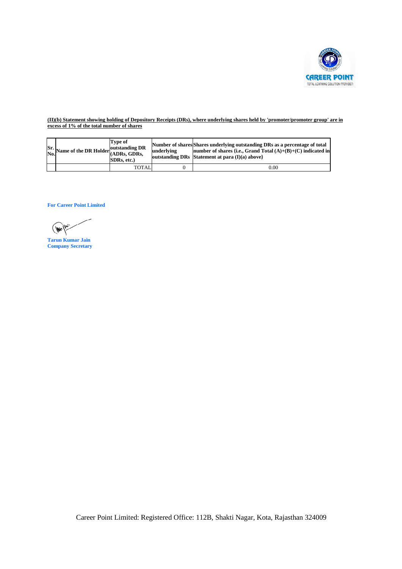

## **(II)(b) Statement showing holding of Depository Receipts (DRs), where underlying shares held by 'promoter/promoter group' are**

| Sr.<br>No. | Name of the DR Holder outstanding DR                | Type of<br>(ADRs, GDRs,<br>SDRs, etc.) | underlying<br>outstanding DRs | Number of shares Shares underlying outstanding DRs as a percentage of total<br>number of shares {i.e., Grand Total (A)+(B)+(C) indicated in<br>Statement at para (I)(a) above} |  |
|------------|-----------------------------------------------------|----------------------------------------|-------------------------------|--------------------------------------------------------------------------------------------------------------------------------------------------------------------------------|--|
|            |                                                     | <b>TOTAL</b>                           | $\boldsymbol{0}$              | $0.00\,$                                                                                                                                                                       |  |
|            | <b>For Career Point Limited</b>                     |                                        |                               |                                                                                                                                                                                |  |
|            |                                                     |                                        |                               |                                                                                                                                                                                |  |
|            | <b>Tarun Kumar Jain</b><br><b>Company Secretary</b> |                                        |                               |                                                                                                                                                                                |  |
|            |                                                     |                                        |                               |                                                                                                                                                                                |  |
|            |                                                     |                                        |                               |                                                                                                                                                                                |  |
|            |                                                     |                                        |                               |                                                                                                                                                                                |  |
|            |                                                     |                                        |                               |                                                                                                                                                                                |  |
|            |                                                     |                                        |                               |                                                                                                                                                                                |  |
|            |                                                     |                                        |                               |                                                                                                                                                                                |  |
|            |                                                     |                                        |                               |                                                                                                                                                                                |  |
|            |                                                     |                                        |                               |                                                                                                                                                                                |  |
|            |                                                     |                                        |                               |                                                                                                                                                                                |  |
|            |                                                     |                                        |                               |                                                                                                                                                                                |  |

 $\sqrt{\frac{1}{2}}$ 

**Tarun Kumar Jain Company Secretary**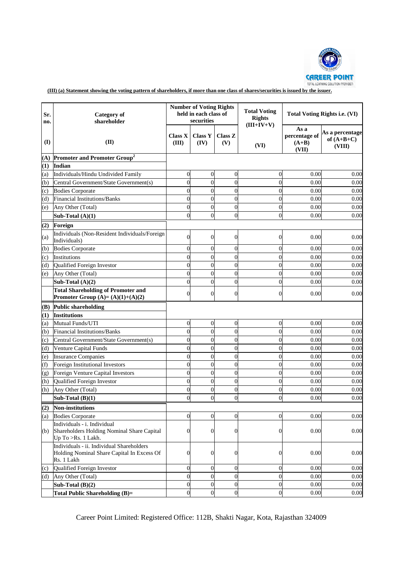

**(III)** (a) Statement showing the voting pattern of shareholders, if more than one class of shares/securities is issued by the issuer.

| Sr.<br>no. | <b>Category</b> of<br>shareholder                                                                     |                         | <b>Number of Voting Rights</b><br>held in each class of<br>securities |                  | <b>Total Voting</b><br><b>Rights</b><br>$(III+IV+V)$ |                                           | <b>Total Voting Rights i.e. (VI)</b>      |
|------------|-------------------------------------------------------------------------------------------------------|-------------------------|-----------------------------------------------------------------------|------------------|------------------------------------------------------|-------------------------------------------|-------------------------------------------|
| (I)        | (II)                                                                                                  | <b>Class X</b><br>(III) | <b>Class Y</b><br>(IV)                                                | Class Z<br>(V)   | (VI)                                                 | As a<br>percentage of<br>$(A+B)$<br>(VII) | As a percentage<br>of $(A+B+C)$<br>(VIII) |
| (A)        | Promoter and Promoter Group <sup>2</sup>                                                              |                         |                                                                       |                  |                                                      |                                           |                                           |
| (1)        | Indian                                                                                                |                         |                                                                       |                  |                                                      |                                           |                                           |
| (a)        | Individuals/Hindu Undivided Family                                                                    | $\boldsymbol{0}$        | $\overline{0}$                                                        | $\boldsymbol{0}$ | $\boldsymbol{0}$                                     | 0.00                                      | 0.00                                      |
| (b)        | Central Government/State Government(s)                                                                | $\overline{0}$          | $\Omega$                                                              | $\mathbf{0}$     | $\overline{0}$                                       | 0.00                                      | 0.00                                      |
| (c)        | <b>Bodies Corporate</b>                                                                               | $\overline{0}$          | $\overline{0}$                                                        | $\mathbf{0}$     | $\overline{0}$                                       | 0.00                                      | 0.00                                      |
| (d)        | <b>Financial Institutions/Banks</b>                                                                   | $\mathbf{0}$            | $\Omega$                                                              | $\mathbf{0}$     | $\overline{0}$                                       | 0.00                                      | 0.00                                      |
| (e)        | Any Other (Total)                                                                                     | $\mathbf{0}$            | $\overline{0}$                                                        | $\mathbf{0}$     | $\overline{0}$                                       | 0.00                                      | 0.00                                      |
|            | Sub-Total $(A)(1)$                                                                                    | $\theta$                | $\overline{0}$                                                        | $\theta$         | $\overline{0}$                                       | 0.00                                      | 0.00                                      |
| (2)        | Foreign                                                                                               |                         |                                                                       |                  |                                                      |                                           |                                           |
| (a)        | Individuals (Non-Resident Individuals/Foreign<br>Individuals)                                         | $\overline{0}$          | $\overline{0}$                                                        | $\overline{0}$   | $\overline{0}$                                       | 0.00                                      | 0.00                                      |
| (b)        | <b>Bodies Corporate</b>                                                                               | $\overline{0}$          | $\theta$                                                              | $\overline{0}$   | $\overline{0}$                                       | 0.00                                      | 0.00                                      |
| (c)        | Institutions                                                                                          | $\overline{0}$          | $\theta$                                                              | $\overline{0}$   | $\overline{0}$                                       | 0.00                                      | 0.00                                      |
| (d)        | Qualified Foreign Investor                                                                            | $\theta$                | $\Omega$                                                              | $\theta$         | $\theta$                                             | 0.00                                      | 0.00                                      |
| (e)        | Any Other (Total)                                                                                     | $\overline{0}$          | $\theta$                                                              | $\mathbf{0}$     | $\overline{0}$                                       | 0.00                                      | 0.00                                      |
|            | Sub-Total $(A)(2)$                                                                                    | $\overline{0}$          | $\overline{0}$                                                        | $\overline{0}$   | $\overline{0}$                                       | 0.00                                      | 0.00                                      |
|            | <b>Total Shareholding of Promoter and</b><br>Promoter Group $(A)=(A)(1)+(A)(2)$                       | $\overline{0}$          | $\Omega$                                                              | $\Omega$         | $\theta$                                             | 0.00                                      | 0.00                                      |
| (B)        | <b>Public shareholding</b>                                                                            |                         |                                                                       |                  |                                                      |                                           |                                           |
| $\bf(1)$   | <b>Institutions</b>                                                                                   |                         |                                                                       |                  |                                                      |                                           |                                           |
| (a)        | Mutual Funds/UTI                                                                                      | $\boldsymbol{0}$        | $\overline{0}$                                                        | $\mathbf 0$      | $\boldsymbol{0}$                                     | 0.00                                      | 0.00                                      |
| (b)        | <b>Financial Institutions/Banks</b>                                                                   | $\overline{0}$          | $\theta$                                                              | $\mathbf{0}$     | $\overline{0}$                                       | 0.00                                      | 0.00                                      |
| (c)        | Central Government/State Government(s)                                                                | $\overline{0}$          | $\theta$                                                              | $\overline{0}$   | $\overline{0}$                                       | 0.00                                      | 0.00                                      |
| (d)        | Venture Capital Funds                                                                                 | $\overline{0}$          | $\theta$                                                              | $\overline{0}$   | $\overline{0}$                                       | 0.00                                      | 0.00                                      |
| (e)        | <b>Insurance Companies</b>                                                                            | $\overline{0}$          | $\Omega$                                                              | $\mathbf{0}$     | $\overline{0}$                                       | 0.00                                      | 0.00                                      |
| (f)        | Foreign Institutional Investors                                                                       | $\overline{0}$          | $\theta$                                                              | $\mathbf{0}$     | $\theta$                                             | 0.00                                      | 0.00                                      |
| (g)        | Foreign Venture Capital Investors                                                                     | $\overline{0}$          | $\overline{0}$                                                        | $\overline{0}$   | $\overline{0}$                                       | 0.00                                      | 0.00                                      |
| (h)        | Qualified Foreign Investor                                                                            | $\overline{0}$          | $\overline{0}$                                                        | $\overline{0}$   | $\overline{0}$                                       | 0.00                                      | 0.00                                      |
| (h)        | Any Other (Total)                                                                                     | $\Omega$                | $\theta$                                                              | $\Omega$         | $\theta$                                             | 0.00                                      | 0.00                                      |
|            | Sub-Total $(B)(1)$                                                                                    | $\boldsymbol{0}$        | $\overline{0}$                                                        | $\overline{0}$   | $\overline{0}$                                       | 0.00                                      | 0.00                                      |
|            | <b>Non-institutions</b>                                                                               |                         |                                                                       |                  |                                                      |                                           |                                           |
| (2)        |                                                                                                       | $\overline{0}$          | $\overline{0}$                                                        | $\overline{0}$   | $\boldsymbol{0}$                                     | 0.00                                      | 0.00                                      |
| (a)        | <b>Bodies Corporate</b><br>Individuals - i. Individual                                                | $\overline{0}$          | $\overline{0}$                                                        | $\overline{0}$   |                                                      | 0.00                                      |                                           |
| (b)        | Shareholders Holding Nominal Share Capital<br>$Up$ To $>Rs$ . 1 Lakh.                                 |                         |                                                                       |                  | 0                                                    |                                           | 0.00                                      |
|            | Individuals - ii. Individual Shareholders<br>Holding Nominal Share Capital In Excess Of<br>Rs. 1 Lakh | $\overline{0}$          | $\overline{0}$                                                        | $\mathbf{0}$     | $\boldsymbol{0}$                                     | 0.00                                      | 0.00                                      |
| (c)        | Qualified Foreign Investor                                                                            | $\overline{0}$          | $\overline{0}$                                                        | $\overline{0}$   | $\boldsymbol{0}$                                     | 0.00                                      | 0.00                                      |
| (d)        | Any Other (Total)                                                                                     | $\boldsymbol{0}$        | $\overline{0}$                                                        | $\mathbf{0}$     | $\overline{0}$                                       | 0.00                                      | 0.00                                      |
|            | Sub-Total $(B)(2)$                                                                                    | $\boldsymbol{0}$        | $\overline{0}$                                                        | $\overline{0}$   | $\boldsymbol{0}$                                     | 0.00                                      | 0.00                                      |
|            | <b>Total Public Shareholding (B)=</b>                                                                 | $\overline{0}$          | $\overline{0}$                                                        | $\theta$         | $\theta$                                             | 0.00                                      | 0.00                                      |

Career Point Limited: Registered Office: 112B, Shakti Nagar, Kota, Rajasthan 324009